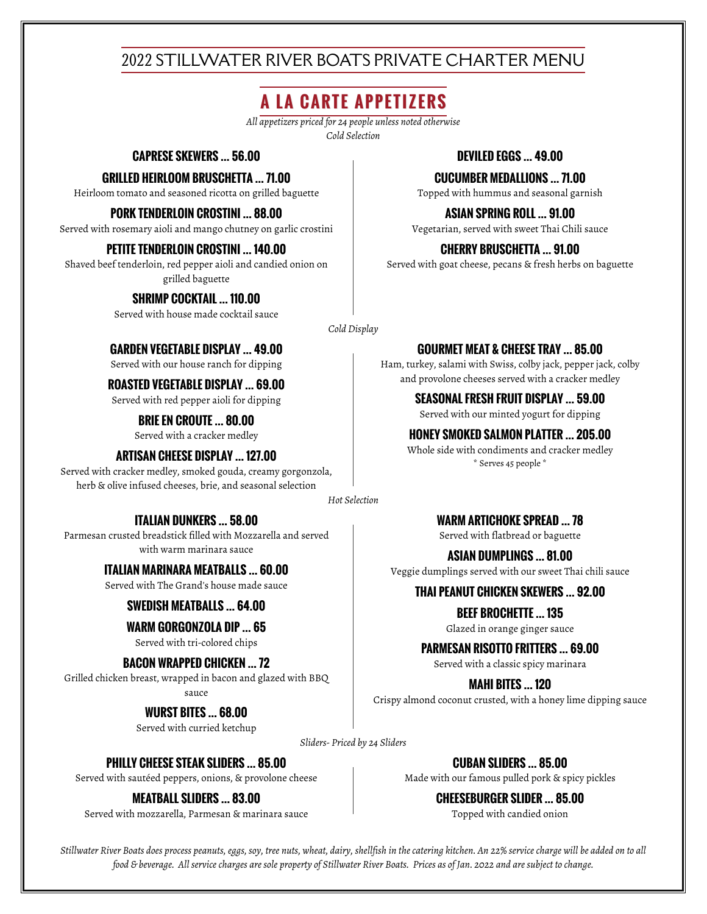# 2022 STILLWATER RIVER BOATS PRIVATE CHARTER MENU

# **A LA CARTE APPETIZERS**

*All appetizers priced for 24 people unless noted otherwise Cold Selection*

# **CAPRESE SKEWERS … 56.00 DEVILED EGGS … 49.00**

#### **GRILLED HEIRLOOM BRUSCHETTA … 71.00**

Heirloom tomato and seasoned ricotta on grilled baguette

#### **PORK TENDERLOIN CROSTINI … 88.00**

Served with rosemary aioli and mango chutney on garlic crostini

### **PETITE TENDERLOIN CROSTINI … 140.00**

Shaved beef tenderloin, red pepper aioli and candied onion on grilled baguette

# **SHRIMP COCKTAIL … 110.00**

Served with house made cocktail sauce

#### **CUCUMBER MEDALLIONS … 71.00**

Topped with hummus and seasonal garnish

**ASIAN SPRING ROLL … 91.00**

Vegetarian, served with sweet Thai Chili sauce

# **CHERRY BRUSCHETTA … 91.00**

Served with goat cheese, pecans & fresh herbs on baguette

**GOURMET MEAT & CHEESE TRAY … 85.00** Ham, turkey, salami with Swiss, colby jack, pepper jack, colby

*Cold Display*

# **GARDEN VEGETABLE DISPLAY … 49.00**

Served with our house ranch for dipping

# and provolone cheeses served with a cracker medley **ROASTED VEGETABLE DISPLAY … 69.00**

Served with red pepper aioli for dipping **SEASONAL FRESH FRUIT DISPLAY … 59.00**

Served with our minted yogurt for dipping **BRIE EN CROUTE … 80.00** Served with a cracker medley **HONEY SMOKED SALMON PLATTER … 205.00**

# \* Serves 45 people \* **ARTISAN CHEESE DISPLAY … 127.00**

Served with cracker medley, smoked gouda, creamy gorgonzola, herb & olive infused cheeses, brie, and seasonal selection

*Hot Selection*

# **ITALIAN DUNKERS … 58.00**

Parmesan crusted breadstick filled with Mozzarella and served with warm marinara sauce

**ITALIAN MARINARA MEATBALLS … 60.00**

Served with The Grand's house made sauce

# **SWEDISH MEATBALLS … 64.00**

**WARM GORGONZOLA DIP … 65**

Served with tri-colored chips

# **BACON WRAPPED CHICKEN … 72**

Grilled chicken breast, wrapped in bacon and glazed with BBQ sauce

**WURST BITES … 68.00**

Served with curried ketchup

**WARM ARTICHOKE SPREAD … 78** Served with flatbread or baguette

Whole side with condiments and cracker medley

**ASIAN DUMPLINGS … 81.00**

Veggie dumplings served with our sweet Thai chili sauce

# **THAI PEANUT CHICKEN SKEWERS … 92.00**

**BEEF BROCHETTE … 135** Glazed in orange ginger sauce

**PARMESAN RISOTTO FRITTERS … 69.00**

Served with a classic spicy marinara

**MAHI BITES … 120** Crispy almond coconut crusted, with a honey lime dipping sauce

*Sliders- Priced by 24 Sliders*

# **PHILLY CHEESE STEAK SLIDERS … 85.00**

Served with sautéed peppers, onions, & provolone cheese

# **MEATBALL SLIDERS … 83.00**

Served with mozzarella, Parmesan & marinara sauce

**CUBAN SLIDERS … 85.00**

Made with our famous pulled pork & spicy pickles

**CHEESEBURGER SLIDER … 85.00**

Topped with candied onion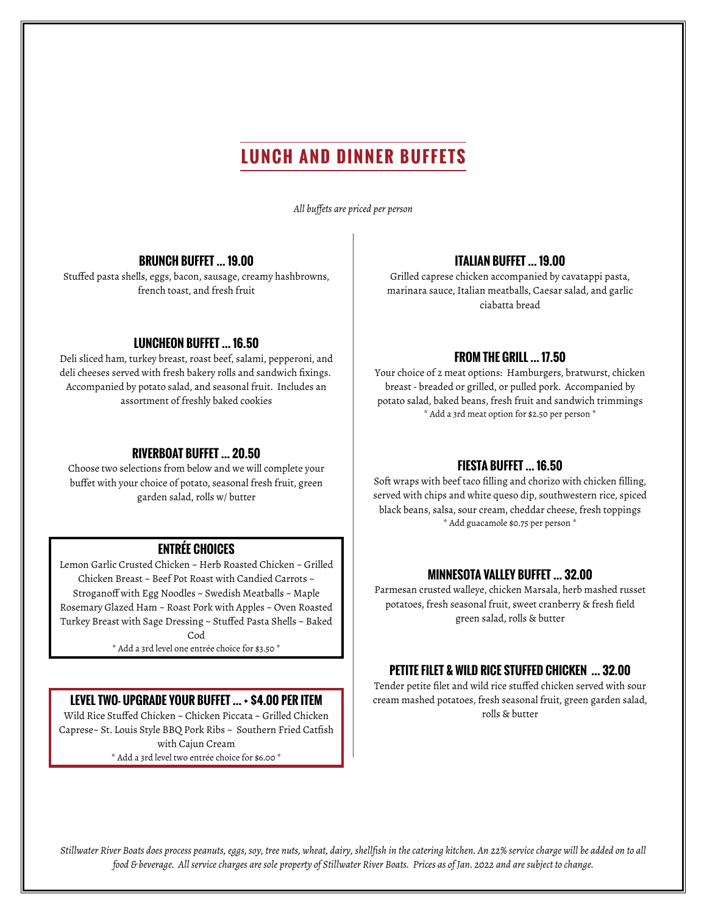# **LUNCH AND DINNER BUFFETS**

*All buffets are priced per person*

# **BRUNCH BUFFET … 19.00**

Stuffed pasta shells, eggs, bacon, sausage, creamy hashbrowns, french toast, and fresh fruit

#### **LUNCHEON BUFFET … 16.50**

Deli sliced ham, turkey breast, roast beef, salami, pepperoni, and deli cheeses served with fresh bakery rolls and sandwich fixings. Accompanied by potato salad, and seasonal fruit. Includes an assortment of freshly baked cookies

#### **RIVERBOAT BUFFET … 20.50**

Choose two selections from below and we will complete your buffet with your choice of potato, seasonal fresh fruit, green garden salad, rolls w/ butter

# **ENTRÉE CHOICES**

Lemon Garlic Crusted Chicken ~ Herb Roasted Chicken ~ Grilled Chicken Breast ~ Beef Pot Roast with Candied Carrots ~ Stroganoff with Egg Noodles ~ Swedish Meatballs ~ Maple Rosemary Glazed Ham ~ Roast Pork with Apples ~ Oven Roasted Turkey Breast with Sage Dressing ~ Stuffed Pasta Shells ~ Baked Cod

\* Add a 3rd level one entrée choice for \$3.50 \*

#### **LEVEL TWO- UPGRADE YOUR BUFFET … + \$4.00 PER ITEM**

Wild Rice Stuffed Chicken ~ Chicken Piccata ~ Grilled Chicken Caprese~ St. Louis Style BBQ Pork Ribs ~ Southern Fried Catfish with Cajun Cream \* Add a 3rd level two entrée choice for \$6.00 \*

### **ITALIAN BUFFET … 19.00**

Grilled caprese chicken accompanied by cavatappi pasta, marinara sauce, Italian meatballs, Caesar salad, and garlic ciabatta bread

# **FROM THE GRILL … 17.50**

Your choice of 2 meat options: Hamburgers, bratwurst, chicken breast - breaded or grilled, or pulled pork. Accompanied by potato salad, baked beans, fresh fruit and sandwich trimmings \* Add a 3rd meat option for \$2.50 per person \*

# **FIESTA BUFFET … 16.50**

Soft wraps with beef taco filling and chorizo with chicken filling, served with chips and white queso dip, southwestern rice, spiced black beans, salsa, sour cream, cheddar cheese, fresh toppings \* Add guacamole \$0.75 per person \*

#### **MINNESOTA VALLEY BUFFET … 32.00**

Parmesan crusted walleye, chicken Marsala, herb mashed russet potatoes, fresh seasonal fruit, sweet cranberry & fresh field green salad, rolls & butter

#### **PETITE FILET & WILD RICE STUFFED CHICKEN … 32.00**

Tender petite filet and wild rice stuffed chicken served with sour cream mashed potatoes, fresh seasonal fruit, green garden salad, rolls & butter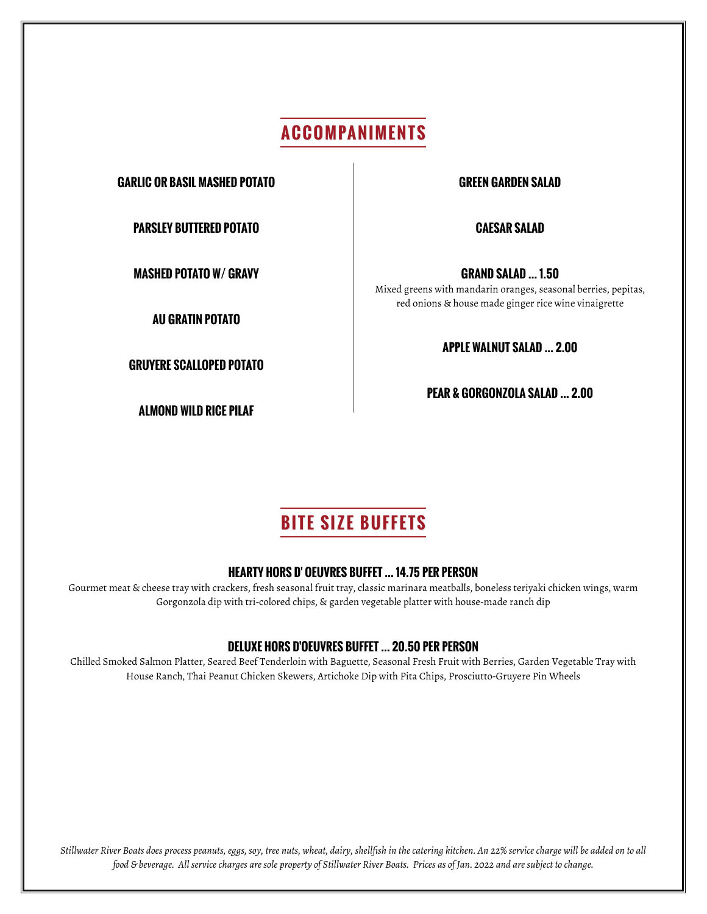# **ACCOMPANIMENTS**

**GARLIC OR BASIL MASHED POTATO GREEN GARDEN SALAD**

**PARSLEY BUTTERED POTATO CAESAR SALAD**

**AU GRATIN POTATO**

**GRUYERE SCALLOPED POTATO**

**ALMOND WILD RICE PILAF**

**MASHED POTATO W/ GRAVY GRAND SALAD … 1.50** Mixed greens with mandarin oranges, seasonal berries, pepitas, red onions & house made ginger rice wine vinaigrette

**APPLE WALNUT SALAD … 2.00**

**PEAR & GORGONZOLA SALAD … 2.00**

# **BITE SIZE BUFFETS**

# **HEARTY HORS D' OEUVRES BUFFET … 14.75 PER PERSON**

Gourmet meat & cheese tray with crackers, fresh seasonal fruit tray, classic marinara meatballs, boneless teriyaki chicken wings, warm Gorgonzola dip with tri-colored chips, & garden vegetable platter with house-made ranch dip

# **DELUXE HORS D'OEUVRES BUFFET … 20.50 PER PERSON**

Chilled Smoked Salmon Platter, Seared Beef Tenderloin with Baguette, Seasonal Fresh Fruit with Berries, Garden Vegetable Tray with House Ranch, Thai Peanut Chicken Skewers, Artichoke Dip with Pita Chips, Prosciutto-Gruyere Pin Wheels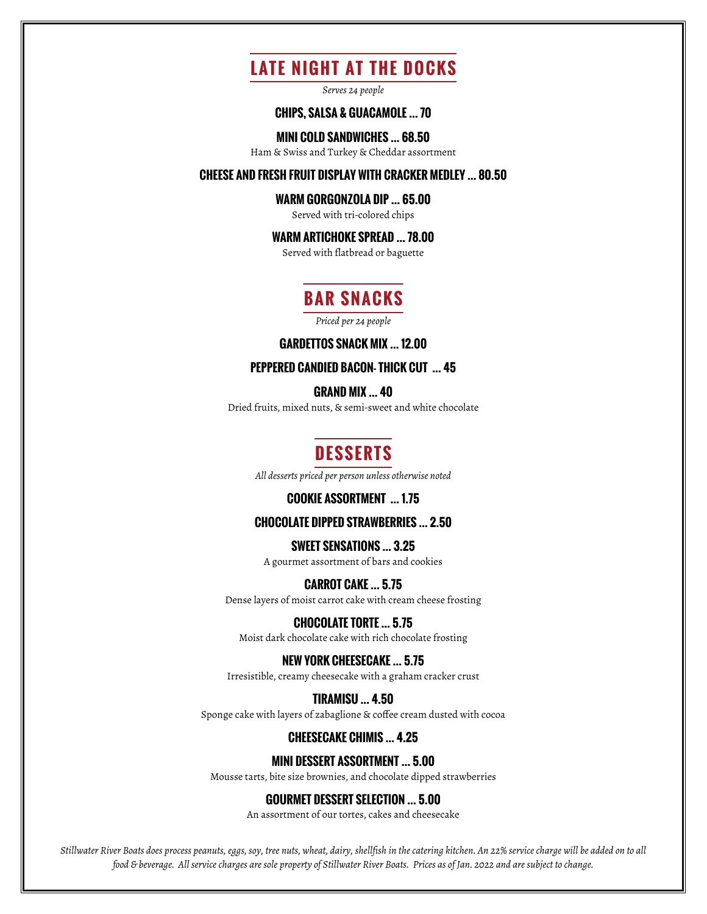# **LATE NIGHT AT THE DOCKS**

*Serves 24 people*

### **CHIPS, SALSA & GUACAMOLE … 70**

**MINI COLD SANDWICHES … 68.50**

Ham & Swiss and Turkey & Cheddar assortment

#### **CHEESE AND FRESH FRUIT DISPLAY WITH CRACKER MEDLEY … 80.50**

#### **WARM GORGONZOLA DIP … 65.00**

Served with tri-colored chips

# **WARM ARTICHOKE SPREAD … 78.00**

Served with flatbread or baguette

# **BAR SNACKS**

*Priced per 24 people*

#### **GARDETTOS SNACK MIX … 12.00**

### **PEPPERED CANDIED BACON- THICK CUT … 45**

**GRAND MIX … 40**

Dried fruits, mixed nuts, & semi-sweet and white chocolate

# **DESSERTS**

*All desserts priced per person unless otherwise noted*

#### **COOKIE ASSORTMENT … 1.75**

# **CHOCOLATE DIPPED STRAWBERRIES … 2.50**

## **SWEET SENSATIONS … 3.25**

A gourmet assortment of bars and cookies

#### **CARROT CAKE … 5.75**

Dense layers of moist carrot cake with cream cheese frosting

### **CHOCOLATE TORTE … 5.75**

Moist dark chocolate cake with rich chocolate frosting

#### **NEW YORK CHEESECAKE … 5.75**

Irresistible, creamy cheesecake with a graham cracker crust

#### **TIRAMISU … 4.50**

Sponge cake with layers of zabaglione & coffee cream dusted with cocoa

# **CHEESECAKE CHIMIS … 4.25**

### **MINI DESSERT ASSORTMENT … 5.00**

Mousse tarts, bite size brownies, and chocolate dipped strawberries

#### **GOURMET DESSERT SELECTION … 5.00**

An assortment of our tortes, cakes and cheesecake